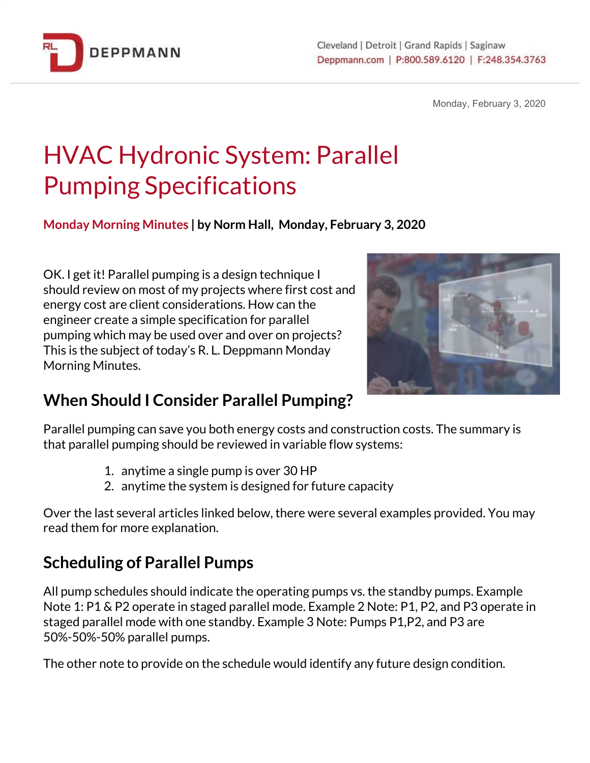

Monday, February 3, 2020

# HVAC Hydronic System: Parallel Pumping Specifications

**Monday Morning Minutes | by Norm Hall, Monday, February 3, 2020**

OK. I get it! Parallel pumping is a design technique I should review on most of my projects where first cost and energy cost are client considerations. How can the engineer create a simple specification for parallel pumping which may be used over and over on projects? This is the subject of today's R. L. Deppmann Monday Morning Minutes.



### **When Should I Consider Parallel Pumping?**

Parallel pumping can save you both energy costs and construction costs. The summary is that parallel pumping should be reviewed in variable flow systems:

- 1. anytime a single pump is over 30 HP
- 2. anytime the system is designed for future capacity

Over the last several articles linked below, there were several examples provided. You may read them for more explanation.

### **Scheduling of Parallel Pumps**

All pump schedules should indicate the operating pumps vs. the standby pumps. Example Note 1: P1 & P2 operate in staged parallel mode. Example 2 Note: P1, P2, and P3 operate in staged parallel mode with one standby. Example 3 Note: Pumps P1,P2, and P3 are 50%-50%-50% parallel pumps.

The other note to provide on the schedule would identify any future design condition.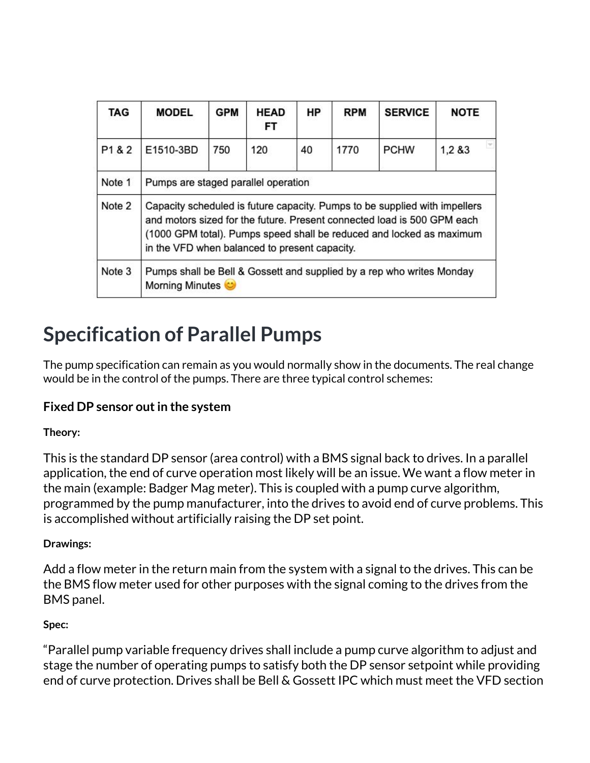| TAG    | <b>MODEL</b>                                                                                                                                                                                                                                                                   | <b>GPM</b> | <b>HEAD</b><br>FT. | HP | <b>RPM</b> | <b>SERVICE</b> | <b>NOTE</b>       |
|--------|--------------------------------------------------------------------------------------------------------------------------------------------------------------------------------------------------------------------------------------------------------------------------------|------------|--------------------|----|------------|----------------|-------------------|
| P1 & 2 | E1510-3BD                                                                                                                                                                                                                                                                      | 750        | 120                | 40 | 1770       | <b>PCHW</b>    | $\tau$<br>1,2 & 3 |
| Note 1 | Pumps are staged parallel operation                                                                                                                                                                                                                                            |            |                    |    |            |                |                   |
| Note 2 | Capacity scheduled is future capacity. Pumps to be supplied with impellers<br>and motors sized for the future. Present connected load is 500 GPM each<br>(1000 GPM total). Pumps speed shall be reduced and locked as maximum<br>in the VFD when balanced to present capacity. |            |                    |    |            |                |                   |
| Note 3 | Pumps shall be Bell & Gossett and supplied by a rep who writes Monday<br>Morning Minutes                                                                                                                                                                                       |            |                    |    |            |                |                   |

## **Specification of Parallel Pumps**

The pump specification can remain as you would normally show in the documents. The real change would be in the control of the pumps. There are three typical control schemes:

#### **Fixed DP sensor outin the system**

#### **Theory:**

This is the standard DP sensor (area control) with a BMS signal back to drives. In a parallel application, the end of curve operation most likely will be an issue. We want a flow meter in the main (example: Badger Mag meter). This is coupled with a pump curve algorithm, programmed by the pump manufacturer, into the drives to avoid end of curve problems. This is accomplished without artificially raising the DP set point.

#### **Drawings:**

Add a flow meter in the return main from the system with a signal to the drives. This can be the BMS flow meter used for other purposes with the signal coming to the drives from the BMS panel.

#### **Spec:**

"Parallel pump variable frequency drives shall include a pump curve algorithm to adjust and stage the number of operating pumps to satisfy both the DP sensor setpoint while providing end of curve protection. Drives shall be Bell & Gossett IPC which must meet the VFD section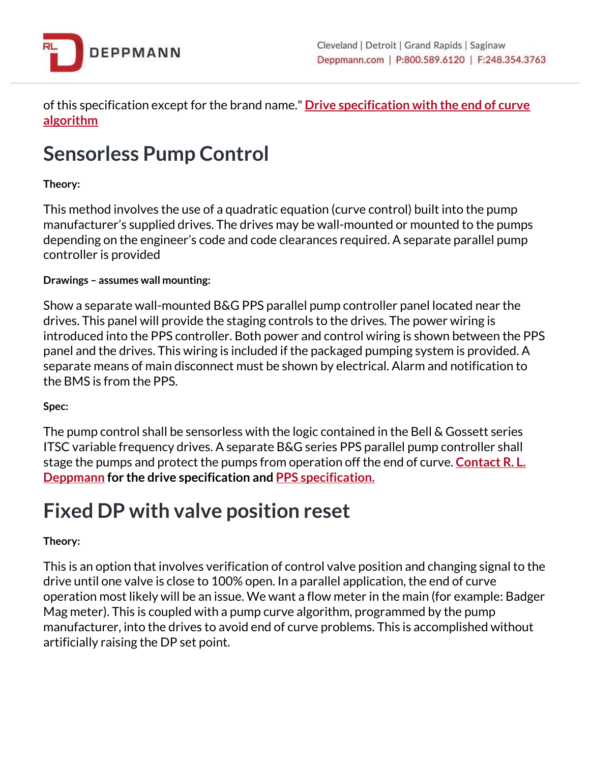

of this specification except for the brand name." **Drive [specification](http://bit.ly/2RSQteY) with the end of curve [algorithm](http://bit.ly/2RSQteY)**

## **Sensorless Pump Control**

#### **Theory:**

This method involves the use of a quadratic equation (curve control) built into the pump manufacturer's supplied drives. The drives may be wall-mounted or mounted to the pumps depending on the engineer's code and code clearances required. A separate parallel pump controller is provided

#### **Drawings – assumes wall mounting:**

Show a separate wall-mounted B&G PPS parallel pump controller panel located near the drives. This panel will provide the staging controls to the drives. The power wiring is introduced into the PPS controller. Both power and control wiring is shown between the PPS panel and the drives. This wiring is included if the packaged pumping system is provided. A separate means of main disconnect must be shown by electrical. Alarm and notification to the BMS is from the PPS.

#### **Spec:**

The pump control shall be sensorless with the logic contained in the Bell & Gossett series ITSC variable frequency drives. A separate B&G series PPS parallel pump controller shall stage the pumps and protect the pumps from operation off the end of curve. **[Contact](https://www.deppmann.com/contact/) R. L. [Deppmann](https://www.deppmann.com/contact/) for the drive specification and PPS [specification.](http://bit.ly/2GxpwbN)**

### **Fixed DP with valve position reset**

#### **Theory:**

This is an option that involves verification of control valve position and changing signal to the drive until one valve is close to 100% open. In a parallel application, the end of curve operation most likely will be an issue. We want a flow meter in the main (for example: Badger Mag meter). This is coupled with a pump curve algorithm, programmed by the pump manufacturer, into the drives to avoid end of curve problems. This is accomplished without artificially raising the DP set point.